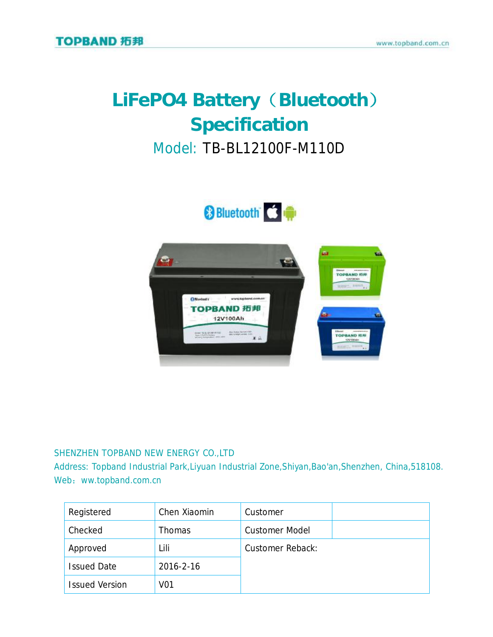# **LiFePO4 Battery(Bluetooth) Specification**  Model: TB-BL12100F-M110D





#### SHENZHEN TOPBAND NEW ENERGY CO.,LTD

Address: Topband Industrial Park,Liyuan Industrial Zone,Shiyan,Bao'an,Shenzhen, China,518108. Web: ww.topband.com.cn

| Registered            | Chen Xiaomin    | Customer                |  |
|-----------------------|-----------------|-------------------------|--|
| Checked               | <b>Thomas</b>   | <b>Customer Model</b>   |  |
| Approved              | Lili            | <b>Customer Reback:</b> |  |
| <b>Issued Date</b>    | 2016-2-16       |                         |  |
| <b>Issued Version</b> | V <sub>01</sub> |                         |  |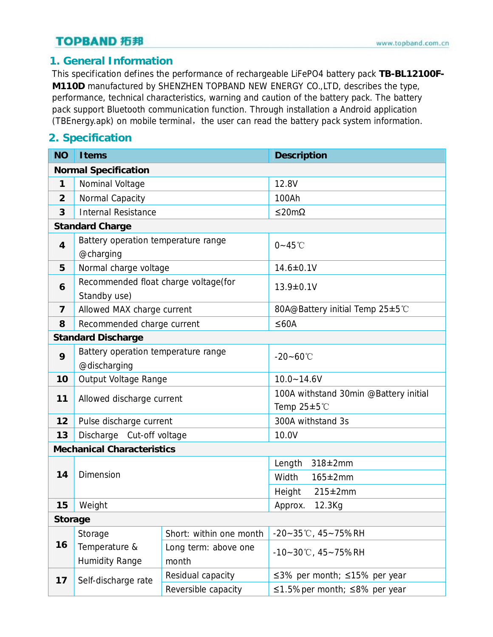#### **1. General Information**

This specification defines the performance of rechargeable LiFePO4 battery pack **TB-BL12100F-M110D** manufactured by SHENZHEN TOPBAND NEW ENERGY CO.,LTD, describes the type, performance, technical characteristics, warning and caution of the battery pack. The battery pack support Bluetooth communication function. Through installation a Android application (TBEnergy.apk) on mobile terminal, the user can read the battery pack system information.

#### **2. Specification**

| <b>NO</b>                   | <b>Items</b>                                         |                               | <b>Description</b>                                  |  |  |  |
|-----------------------------|------------------------------------------------------|-------------------------------|-----------------------------------------------------|--|--|--|
| <b>Normal Specification</b> |                                                      |                               |                                                     |  |  |  |
| 1                           | Nominal Voltage                                      | 12.8V                         |                                                     |  |  |  |
| $\overline{2}$              | Normal Capacity                                      |                               | 100Ah                                               |  |  |  |
| 3                           | <b>Internal Resistance</b>                           |                               | $\leq$ 20m $\Omega$                                 |  |  |  |
|                             | <b>Standard Charge</b>                               |                               |                                                     |  |  |  |
| $\overline{4}$              | Battery operation temperature range<br>@charging     |                               | $0 - 45$ °C                                         |  |  |  |
| 5                           | Normal charge voltage                                |                               | 14.6±0.1V                                           |  |  |  |
| 6                           | Recommended float charge voltage(for<br>Standby use) |                               | 13.9±0.1V                                           |  |  |  |
| 7                           | Allowed MAX charge current                           |                               | 80A@Battery initial Temp 25±5℃                      |  |  |  |
| 8                           | Recommended charge current                           |                               | $≤60A$                                              |  |  |  |
| <b>Standard Discharge</b>   |                                                      |                               |                                                     |  |  |  |
| 9                           | Battery operation temperature range<br>@discharging  |                               | $-20 - 60^{\circ}$ C                                |  |  |  |
| 10                          | Output Voltage Range                                 |                               | $10.0 - 14.6V$                                      |  |  |  |
| 11                          | Allowed discharge current                            |                               | 100A withstand 30min @Battery initial<br>Temp 25±5℃ |  |  |  |
| 12                          | Pulse discharge current                              |                               | 300A withstand 3s                                   |  |  |  |
| 13                          | Discharge Cut-off voltage                            |                               | 10.0V                                               |  |  |  |
|                             | <b>Mechanical Characteristics</b>                    |                               |                                                     |  |  |  |
|                             | Dimension                                            |                               | Length<br>$318 \pm 2$ mm                            |  |  |  |
| 14                          |                                                      |                               | Width<br>165±2mm                                    |  |  |  |
|                             |                                                      |                               | $215 \pm 2$ mm<br>Height                            |  |  |  |
| 15                          | Weight                                               |                               | 12.3Kg<br>Approx.                                   |  |  |  |
| <b>Storage</b>              |                                                      |                               |                                                     |  |  |  |
| 16                          | Storage                                              | Short: within one month       | $-20-35$ °C, 45~75%RH                               |  |  |  |
|                             | Temperature &<br><b>Humidity Range</b>               | Long term: above one<br>month | $-10-30$ °C, 45~75%RH                               |  |  |  |
| 17                          | Self-discharge rate                                  | Residual capacity             | $\leq$ 3% per month; $\leq$ 15% per year            |  |  |  |
|                             |                                                      | Reversible capacity           | $\leq$ 1.5% per month; $\leq$ 8% per year           |  |  |  |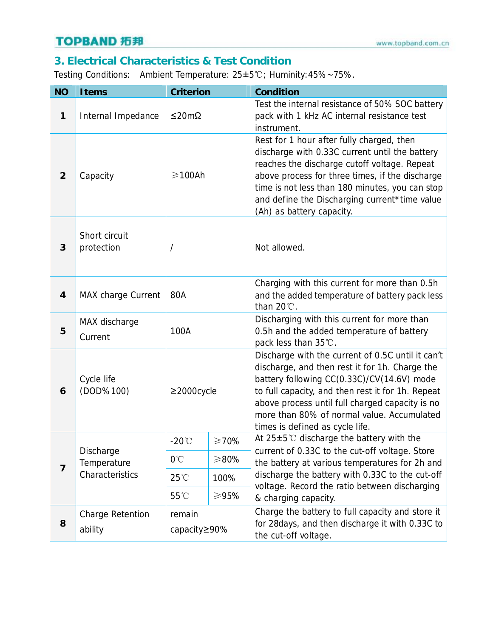# **3. Electrical Characteristics & Test Condition**

Testing Conditions: Ambient Temperature: 25±5℃; Huminity:45%~75%.

| <b>NO</b>      | <b>Items</b>                                | <b>Criterion</b>       |             | Condition                                                                                                                                                                                                                                                                                                                                  |  |
|----------------|---------------------------------------------|------------------------|-------------|--------------------------------------------------------------------------------------------------------------------------------------------------------------------------------------------------------------------------------------------------------------------------------------------------------------------------------------------|--|
| 1              | Internal Impedance                          | $\leq$ 20m $\Omega$    |             | Test the internal resistance of 50% SOC battery<br>pack with 1 kHz AC internal resistance test<br>instrument.                                                                                                                                                                                                                              |  |
| $\overline{2}$ | Capacity                                    | $\geqslant$ 100Ah      |             | Rest for 1 hour after fully charged, then<br>discharge with 0.33C current until the battery<br>reaches the discharge cutoff voltage. Repeat<br>above process for three times, if the discharge<br>time is not less than 180 minutes, you can stop<br>and define the Discharging current*time value<br>(Ah) as battery capacity.            |  |
| 3              | Short circuit<br>protection                 |                        |             | Not allowed.                                                                                                                                                                                                                                                                                                                               |  |
| 4              | <b>MAX charge Current</b>                   | 80A                    |             | Charging with this current for more than 0.5h<br>and the added temperature of battery pack less<br>than $20^{\circ}$ C.                                                                                                                                                                                                                    |  |
| 5              | MAX discharge<br>Current                    | 100A                   |             | Discharging with this current for more than<br>0.5h and the added temperature of battery<br>pack less than 35°C.                                                                                                                                                                                                                           |  |
| 6              | Cycle life<br>(DOD%100)                     | $\geq$ 2000cycle       |             | Discharge with the current of 0.5C until it can't<br>discharge, and then rest it for 1h. Charge the<br>battery following CC(0.33C)/CV(14.6V) mode<br>to full capacity, and then rest it for 1h. Repeat<br>above process until full charged capacity is no<br>more than 80% of normal value. Accumulated<br>times is defined as cycle life. |  |
| $\overline{7}$ | Discharge<br>Temperature<br>Characteristics | -20 $^{\circ}$ C       | $\geq 70\%$ | At 25±5℃ discharge the battery with the                                                                                                                                                                                                                                                                                                    |  |
|                |                                             | $0^{\circ}$ C          | > 80%       | current of 0.33C to the cut-off voltage. Store<br>the battery at various temperatures for 2h and                                                                                                                                                                                                                                           |  |
|                |                                             | $25^{\circ}$           | 100%        | discharge the battery with 0.33C to the cut-off<br>voltage. Record the ratio between discharging<br>& charging capacity.                                                                                                                                                                                                                   |  |
|                |                                             | $55^{\circ}$ C         | ≥95%        |                                                                                                                                                                                                                                                                                                                                            |  |
| 8              | <b>Charge Retention</b><br>ability          | remain<br>capacity≥90% |             | Charge the battery to full capacity and store it<br>for 28days, and then discharge it with 0.33C to<br>the cut-off voltage.                                                                                                                                                                                                                |  |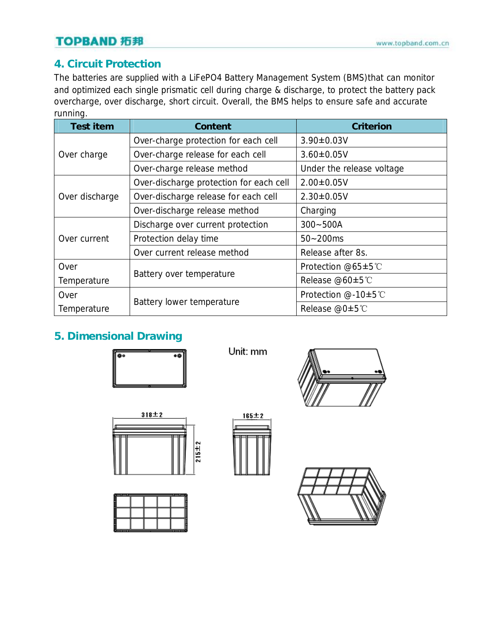## **4. Circuit Protection**

The batteries are supplied with a LiFePO4 Battery Management System (BMS)that can monitor and optimized each single prismatic cell during charge & discharge, to protect the battery pack overcharge, over discharge, short circuit. Overall, the BMS helps to ensure safe and accurate running.

| <b>Test item</b> | Content                                 | <b>Criterion</b>          |  |
|------------------|-----------------------------------------|---------------------------|--|
| Over charge      | Over-charge protection for each cell    | $3.90 \pm 0.03$ V         |  |
|                  | Over-charge release for each cell       | $3.60 \pm 0.05$ V         |  |
|                  | Over-charge release method              | Under the release voltage |  |
| Over discharge   | Over-discharge protection for each cell | $2.00 \pm 0.05 V$         |  |
|                  | Over-discharge release for each cell    | $2.30 \pm 0.05 V$         |  |
|                  | Over-discharge release method           | Charging                  |  |
| Over current     | Discharge over current protection       | $300 - 500A$              |  |
|                  | Protection delay time                   | $50 - 200$ ms             |  |
|                  | Over current release method             | Release after 8s.         |  |
| Over             |                                         | Protection @65±5℃         |  |
| Temperature      | Battery over temperature                | Release @60±5℃            |  |
| Over             |                                         | Protection @-10±5℃        |  |
| Temperature      | Battery lower temperature               | Release @0±5℃             |  |

### **5. Dimensional Drawing**



Unit: mm

 $165 + 2$